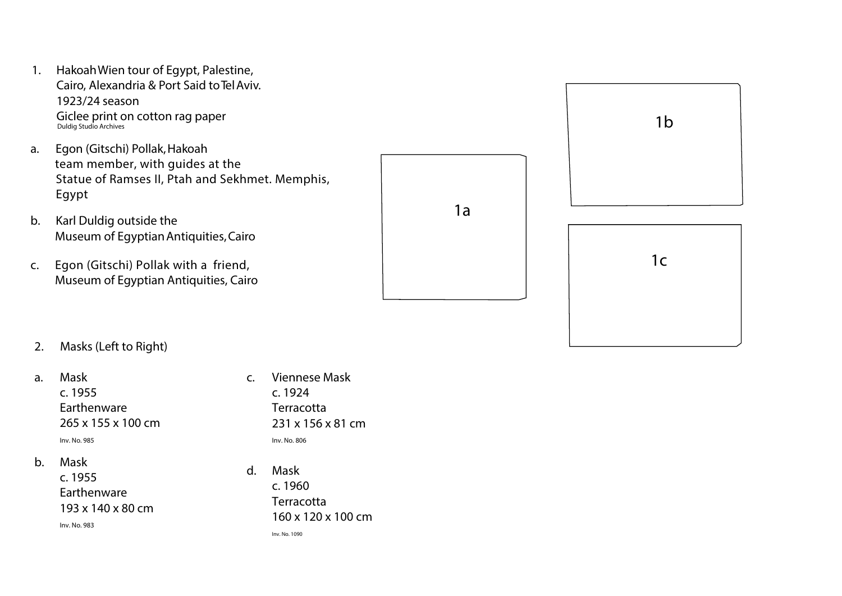- 1 . Ha koahWien tour of E gypt, Palestine, Cairo, Alexandria & Port Said to Tel Aviv. 1923/24 season Giclee print on cotton rag p aper Duldig Studio Archives
- a. E gon (Gitschi) Pollak , Ha koah team member, with guides at the Statue of Ramses II, Ptah and Sekhmet. Memphis, Egypt<br>b. Karl Duldig outside the
- Museum of Egyptian Antiquities, Cairo
- $C<sub>1</sub>$ . Egon (Gitschi) Pollak with a friend, Museum of Egyptian Antiquities, Cairo





# 2. Masks (Left to Right)

- a. Mask c. 1955 Earthenware 265 x 155 x 100 cm Inv. No. 985
- b. Mask

 c. 1955 Earthenware 193 x 140 x 80 cm Inv. No. 983

- c. Viennese Mask c. 1924 **Terracotta**  231 x 156 x 81 cm Inv. No. 806
- d. Mask c. 1960 **Terracotta** 160 x 120 x 100 cm

Inv. No. 1090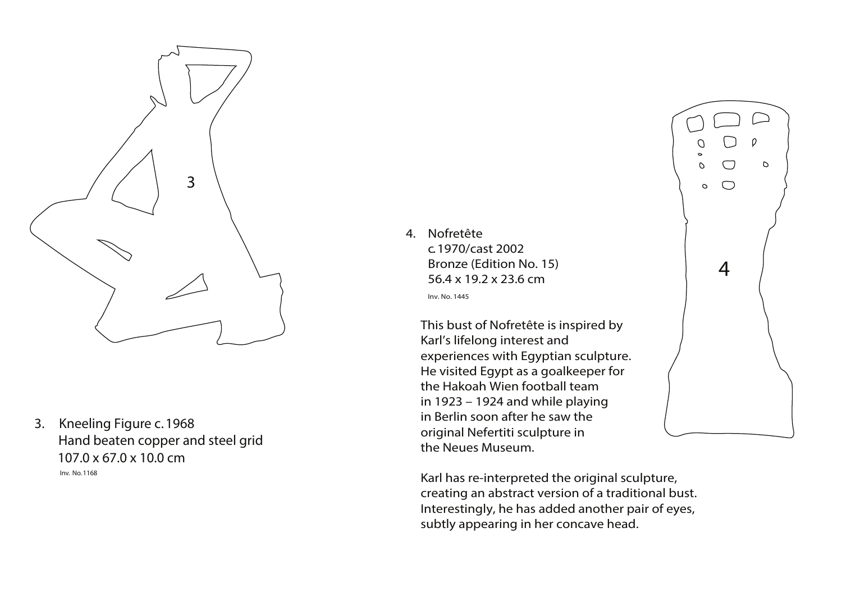3. Kneeling Figure c. 1968 Hand beaten copper and steel grid 107.0 x 67.0 x 10.0 cm Inv. No. 1168





4. Nofretête c. 1970/cast 2002 Bronze (Edition No. 15) 56.4 x 19.2 x 23.6 cm

Inv. No. 1445

 This bust of Nofretête is inspired by Karl's lifelong interest and experiences with Egyptian sculpture. He visited Egypt as a goalkeeper for the Hakoah Wien football team in 1923 – 1924 and while playing in Berlin soon after he saw the original Nefertiti sculpture in the Neues Museum.

 Karl has re-interpreted the original sculpture, creating an abstract version of a traditional bust. Interestingly, he has added another pair of eyes, subtly appearing in her concave head.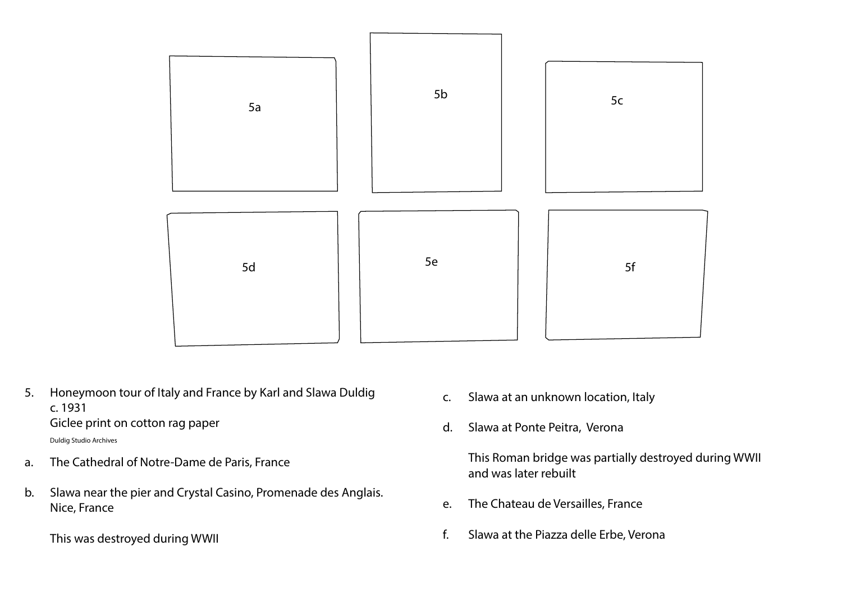- c. Slawa at an unknown location, Italy
- d. Slawa at Ponte Peitra, Verona

 This Roman bridge was partially destroyed during WWII and was later rebuilt

- e. The Chateau de Versailles, France
- f. Slawa at the Piazza delle Erbe, Verona



5. Honeymoon tour of Italy and France by Karl and Slawa Duldig c. 1931 Giclee print on cotton rag paper

Duldig Studio Archives

- a. The Cathedral of Notre-Dame de Paris, France
- b. Slawa near the pier and Crystal Casino, Promenade des Anglais. Nice, France
	- This was destroyed during WWII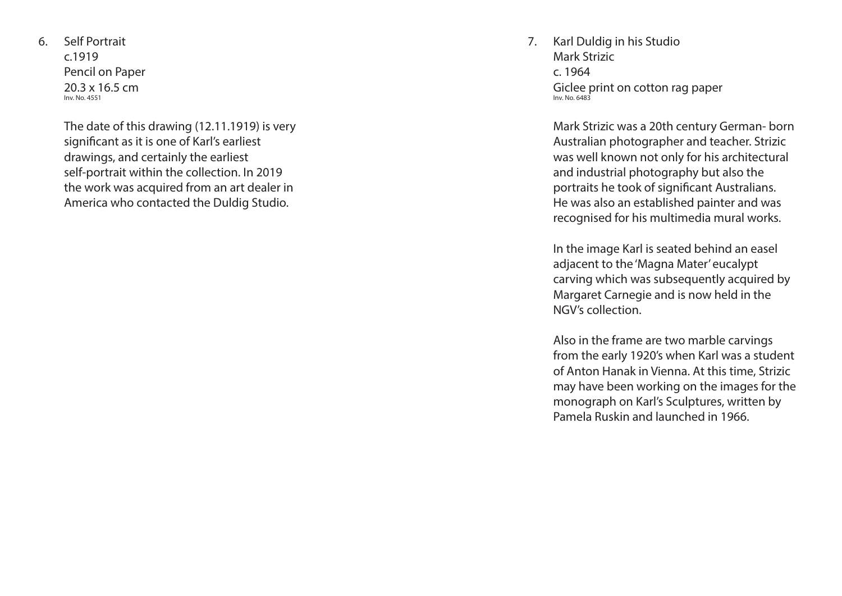6. Self Portrait c.1919 Pencil on Paper 20.3 x 16.5 cm Inv. No. 4551

> The date of this drawing (12.11.1919) is very significant as it is one of Karl's earliest drawings, and certainly the earliest self-portrait within the collection. In 2019 the work was acquired from an art dealer in America who contacted the Duldig Studio.

7. Karl Duldig in his Studio Mark Strizic c. 1964 Giclee print on cotton rag paper Inv. No. 6483

> Mark Strizic was a 20th century German- born Australian photographer and teacher. Strizic was well known not only for his architectural and industrial photography but also the portraits he took of significant Australians. He was also an established painter and was recognised for his multimedia mural works.

 In the image Karl is seated behind an easel adjacent to the 'Magna Mater' eucalypt carving which was subsequently acquired by Margaret Carnegie and is now held in the NGV's collection.

 Also in the frame are two marble carvings from the early 1920's when Karl was a student of Anton Hanak in Vienna. At this time, Strizic may have been working on the images for the monograph on Karl's Sculptures, written by Pamela Ruskin and launched in 1966.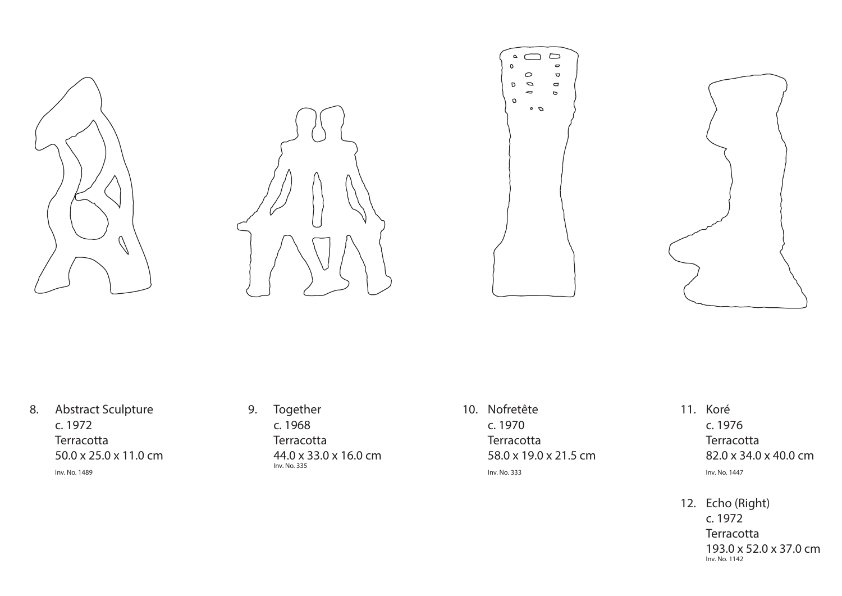





8. Abstract Sculpture c. 1972 **Terracotta** 50.0 x 25.0 x 11.0 cm

Inv. No. 1489

9. Together c. 1968 **Terracotta**  44.0 x 33.0 x 16.0 cm Inv. No. 335

10. Nofretête c. 1970 **Terracotta**  58.0 x 19.0 x 21.5 cm Inv. No. 333



11. Koré c. 1976 **Terracotta**  82.0 x 34.0 x 40.0 cm Inv. No. 1447

12. Echo (Right) c. 1972 **Terracotta**  193.0 x 52.0 x 37.0 cm Inv. No. 1142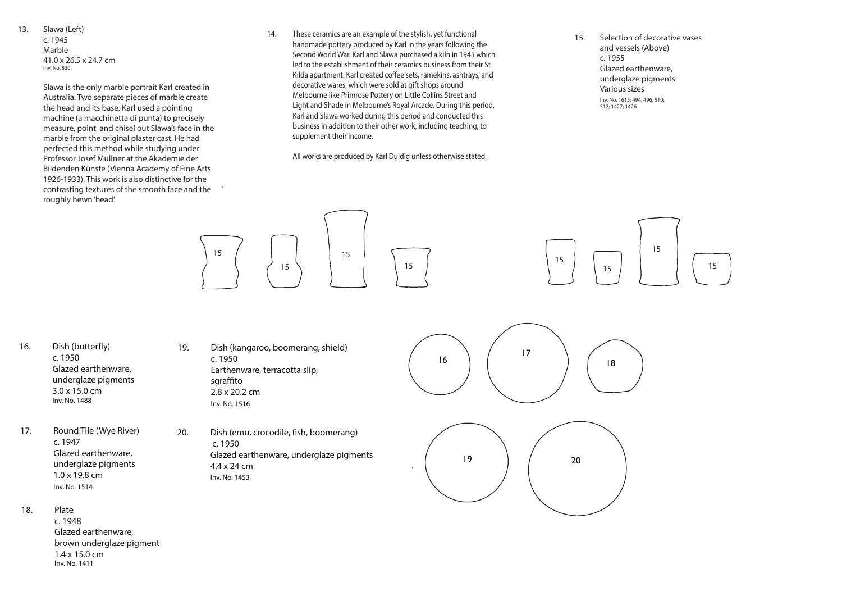13. Slawa (Left)

 c. 1945 Marble 41.0 x 26.5 x 24.7 cm Inv. No. 830

 Slawa is the only marble portrait Karl created in Australia. Two separate pieces of marble create the head and its base. Karl used a pointing machine (a macchinetta di punta) to precisely measure, point and chisel out Slawa's face in the marble from the original plaster cast. He had perfected this method while studying under Professor Josef Müllner at the Akademie der Bildenden Künste (Vienna Academy of Fine Arts 1926-1933). This work is also distinctive for the contrasting textures of the smooth face and the ` roughly hewn 'head'.

14. These ceramics are an example of the stylish, yet functional handmade pottery produced by Karl in the years following the Second World War. Karl and Slawa purchased a kiln in 1945 which led to the establishment of their ceramics business from their St Kilda apartment. Karl created coffee sets, ramekins, ashtrays, and decorative wares, which were sold at gift shops around Melbourne like Primrose Pottery on Little Collins Street and Light and Shade in Melbourne's Royal Arcade. During this period, Karl and Slawa worked during this period and conducted this business in addition to their other work, including teaching, to supplement their income.

20. Dish (emu, crocodile, fish, boomerang) c. 1950 Glazed earthenware, underglaze pigments 4.4 x 24 cm Inv. No. 1453

16. Dish (butterfly) c. 1950 Glazed earthenware, underglaze pigments 3.0 x 15.0 cm Inv. No. 1488

All works are produced by Karl Duldig unless otherwise stated.





15. Selection of decorative vases



 $\begin{array}{|c|c|c|c|c|}\n\hline\n16 & 7\n\end{array}$ 

underglaze pigments

 and vessels (Above) c. 1955 Glazed earthenware, Various sizes Inv. No. 1615; 494; 496; 510; 512; 1427; 1426

18

17. Round Tile (Wye River) c. 1947 Glazed earthenware, underglaze pigments 1.0 x 19.8 cm Inv. No. 1514

18. Plate c. 1948 Glazed earthenware, brown underglaze pigment 1.4 x 15.0 cm Inv. No. 1411

19. Dish (kangaroo, boomerang, shield) c. 1950 Earthenware, terracotta slip, sgraffito 2.8 x 20.2 cm Inv. No. 1516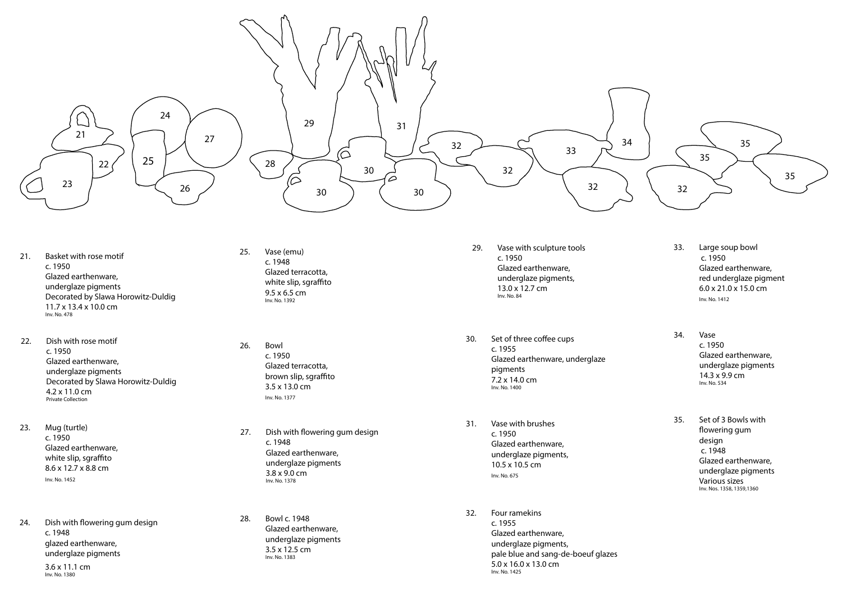- 21. Basket with rose motif c. 1950 Glazed earthenware, underglaze pigments Decorated by Slawa Horowitz-Duldig 11.7 x 13.4 x 10.0 cm Inv. No. 478
- 22. Dish with rose motif c. 1950 Glazed earthenware, underglaze pigments Decorated by Slawa Horowitz-Duldig 4.2 x 11.0 cm Private Collection
- 23. Mug (turtle) c. 1950 Glazed earthenware, white slip, sgraffito 8.6 x 12.7 x 8.8 cm Inv. No. 1452
- 24. Dish with flowering gum design c. 1948 glazed earthenware, underglaze pigments
- 25. Vase (emu) c. 1948 Glazed terracotta, white slip, sgraffito 9.5 x 6.5 cm Inv. No. 1392
- 26. Bowl c. 1950 Glazed terracotta, brown slip, sgraffito 3.5 x 13.0 cm Inv. No. 1377
- 27. Dish with flowering gum design c. 1948 Glazed earthenware, underglaze pigments 3.8 x 9.0 cm Inv. No. 1378
- 28. Bowl c. 1948 Glazed earthenware, underglaze pigments 3.5 x 12.5 cm Inv. No. 1383

 3.6 x 11.1 cm Inv. No. 1380



29. Vase with sculpture tools c. 1950 Glazed earthenware, underglaze pigments, 13.0 x 12.7 cm Inv. No. 84

30. Set of three coffee cups c. 1955 Glazed earthenware, underglaze pigments  $7.2 \times 14.0 \text{ cm}$ Inv. No. 1400

- 31. Vase with brushes  $c. 1950$ Glazed earthenware, underglaze pigments,  $10.5 \times 10.5$  cm Inv. No. 675
- 32. Four ramekins c. 1955 Glazed earthenware, underglaze pigments, pale blue and sang-de-boeuf glazes  $5.0 \times 16.0 \times 13.0$  cm Inv. No. 1425
- 33. Large soup bowl c. 1950 Glazed earthenware, red underglaze pigment  $6.0 \times 21.0 \times 15.0$  cm Inv. No. 1412
- 34. Vase c. 1950 Glazed earthenware. underglaze pigments  $14.3 \times 9.9 \text{ cm}$ Inv. No. 534
- 35. Set of 3 Bowls with flowering gum design c. 1948 Glazed earthenware, underglaze pigments Various sizes Inv. Nos. 1358, 1359,1360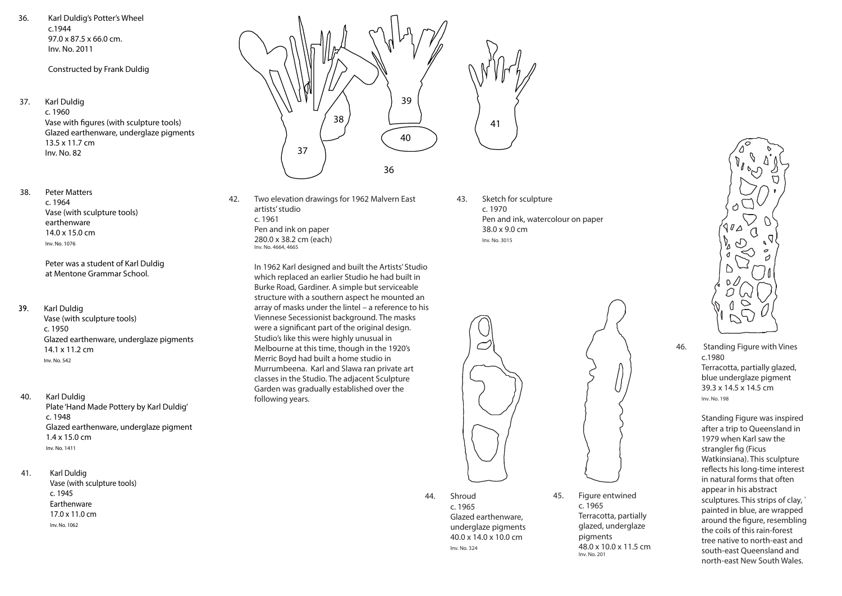36. Karl Duldig's Potter's Wheel c.1944 97.0 x 87.5 x 66.0 cm. Inv. No. 2011

Constructed by Frank Duldig

- 37. Karl Duldig c. 1960 Vase with figures (with sculpture tools) Glazed earthenware, underglaze pigments 13.5 x 11.7 cm
	- Inv. No. 82
- 38. Peter Matters c. 1964 Vase (with sculpture tools) earthenware 14.0 x 15.0 cm Inv. No. 1076

 Peter was a student of Karl Duldig at Mentone Grammar School.

39. Karl Duldig

 Vase (with sculpture tools) c. 1950 Glazed earthenware, underglaze pigments 14.1 x 11.2 cm Inv. No. 542

- 40. Karl Duldig Plate 'Hand Made Pottery by Karl Duldig' c. 1948 Glazed earthenware, underglaze pigment 1.4 x 15.0 cm Inv. No. 1411
- 41. Karl Duldig Vase (with sculpture tools) c. 1945 Earthenware 17.0 x 11.0 cm Inv. No. 1062



42. Two elevation drawings for 1962 Malvern East artists' studio c. 1961 Pen and ink on paper 280.0 x 38.2 cm (each) Inv. No. 4664, 4665

- 41
- 43. Sketch for sculpture c. 1970 Pen and ink, watercolour on paper 38.0 x 9.0 cm Inv. No. 3015



 In 1962 Karl designed and built the Artists' Studio which replaced an earlier Studio he had built in Burke Road, Gardiner. A simple but serviceable structure with a southern aspect he mounted an array of masks under the lintel – a reference to his Viennese Secessionist background. The masks were a significant part of the original design. Studio's like this were highly unusual in Melbourne at this time, though in the 1920's Merric Boyd had built a home studio in Murrumbeena. Karl and Slawa ran private art classes in the Studio. The adjacent Sculpture Garden was gradually established over the following years.

44. Shroud

 c. 1965 Glazed earthenware, underglaze pigments 40.0 x 14.0 x 10.0 cm Inv. No. 324





c. 1965

 Terracotta, partially glazed, underglaze

pigments

48.0 x 10.0 x 11.5 cm

Inv. No. 201

46. Standing Figure with Vines c.1980 Terracotta, partially glazed, blue underglaze pigment 39.3 x 14.5 x 14.5 cm Inv. No. 198

> Standing Figure was inspired after a trip to Queensland in 1979 when Karl saw the strangler fig (Ficus Watkinsiana). This sculpture reflects his long-time interest in natural forms that often appear in his abstract sculptures. This strips of clay, ` painted in blue, are wrapped around the figure, resembling the coils of this rain-forest tree native to north-east and south-east Queensland and north-east New South Wales.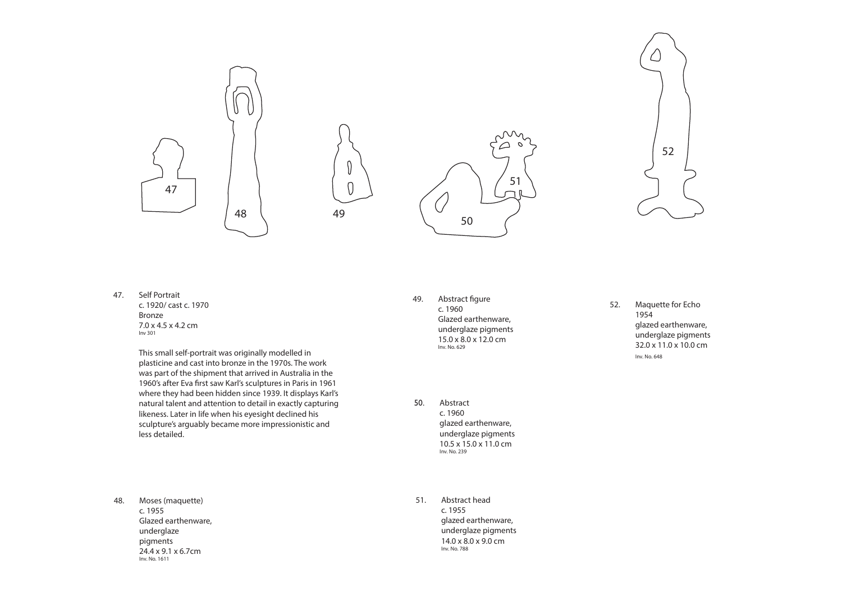47. Self Portrait c. 1920/ cast c. 1970 Bronze 7.0 x 4.5 x 4.2 cm Inv 301

> This small self-portrait was originally modelled in plasticine and cast into bronze in the 1970s. The work was part of the shipment that arrived in Australia in the 1960's after Eva first saw Karl's sculptures in Paris in 1961 where they had been hidden since 1939. It displays Karl's natural talent and attention to detail in exactly capturing likeness. Later in life when his eyesight declined his sculpture's arguably became more impressionistic and less detailed.

- 49. Abstract figure c. 1960 Glazed earthenware, underglaze pigments 15.0 x 8.0 x 12.0 cm Inv. No. 629
- 50. Abstract c. 1960 glazed earthenware, underglaze pigments 10.5 x 15.0 x 11.0 cm Inv. No. 239
- 51. Abstract head c. 1955 glazed earthenware, underglaze pigments 14.0 x 8.0 x 9.0 cm Inv. No. 788

52. Maquette for Echo 1954 glazed earthenware, underglaze pigments 32.0 x 11.0 x 10.0 cm Inv. No. 648

48. Moses (maquette) c. 1955 Glazed earthenware, underglaze pigments 24.4 x 9.1 x 6.7cm Inv. No. 1611



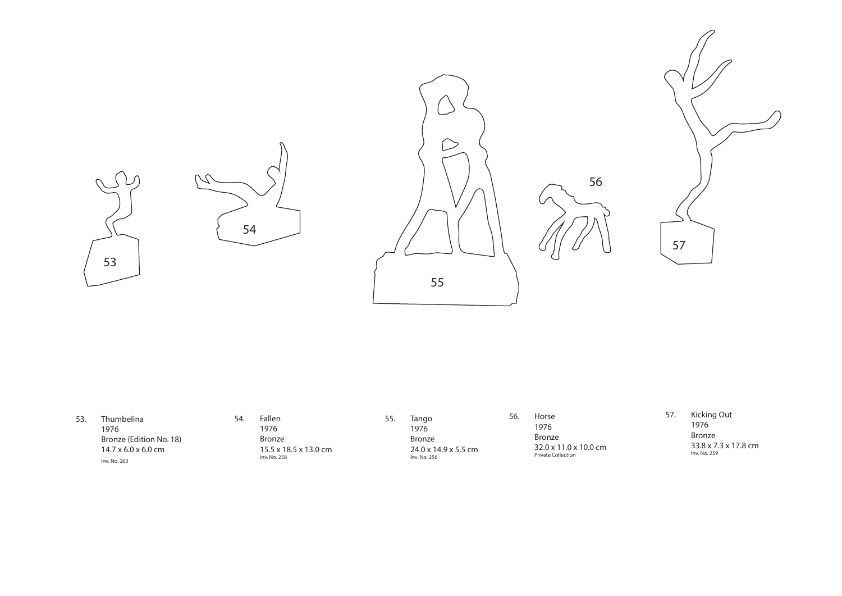| 53. | Thumbelina                              |
|-----|-----------------------------------------|
|     | 1976                                    |
|     | Bronze (Edition No. 18)                 |
|     | $14.7 \times 6.0 \times 6.0 \text{ cm}$ |
|     | Inv. No. 263                            |

54. Fallen 1976 Bronze 15.5 x 18.5 x 13.0 cm Inv. No. 258

56. Horse 1976 Bronze 32.0 x 11.0 x 10.0 cm Private Collection

57. Kicking Out 1976 Bronze 33.8 x 7.3 x 17.8 cm Inv. No. 259

55. Tango 1976 Bronze 24.0 x 14.9 x 5.5 cm Inv. No. 256



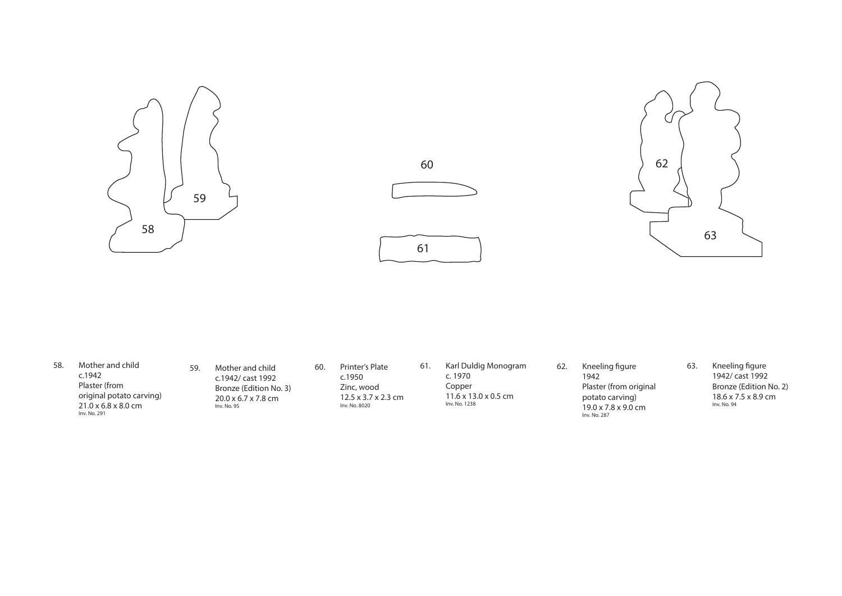- 58. Mother and child c.1942 Plaster (from original potato carving) 21.0 x 6.8 x 8.0 cm Inv. No. 291
- 59. Mother and child c.1942/ cast 1992 Bronze (Edition No. 3) 20.0 x 6.7 x 7.8 cm Inv. No. 95
- 60. Printer's Plate c.1950 Zinc, wood 12.5 x 3.7 x 2.3 cm Inv. No. 8020
- 61. Karl Duldig Monogram c. 1970 Copper 11.6 x 13.0 x 0.5 cm Inv. No. 1238
- 62. Kneeling figure
	- 1942 Plaster (from original potato carving) 19.0 x 7.8 x 9.0 cm Inv. No. 287

63. Kneeling figure 1942/ cast 1992 Bronze (Edition No. 2) 18.6 x 7.5 x 8.9 cm Inv. No. 94





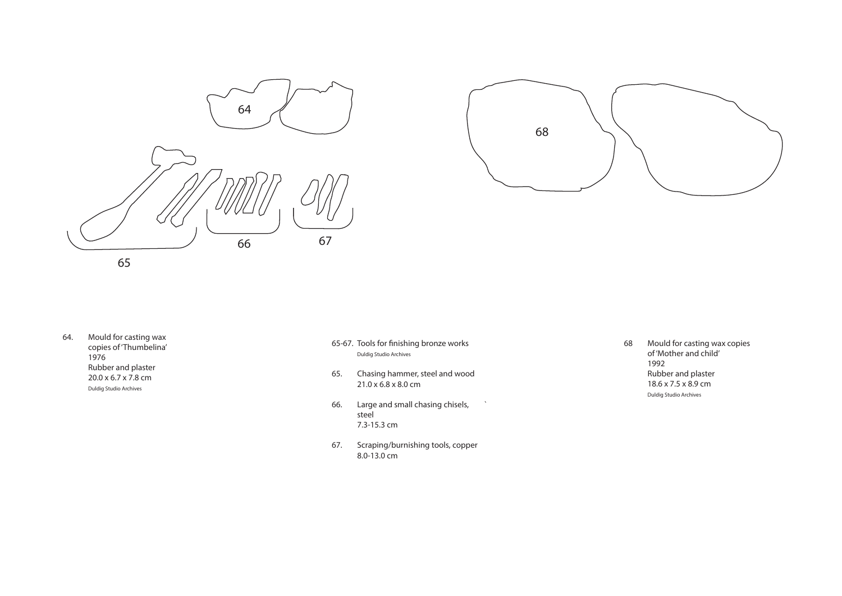64. Mould for casting wax copies of 'Thumbelina' 1976 Rubber and plaster 20.0 x 6.7 x 7.8 cm Duldig Studio Archives

 68 Mould for casting wax copies of 'Mother and child' 1992 Rubber and plaster 18.6 x 7.5 x 8.9 cm Duldig Studio Archives

- 65-67. Tools for finishing bronze works Duldig Studio Archives
- 65. Chasing hammer, steel and wood 21.0 x 6.8 x 8.0 cm
- 66. Large and small chasing chisels, ` steel 7.3-15.3 cm
- 67. Scraping/burnishing tools, copper 8.0-13.0 cm



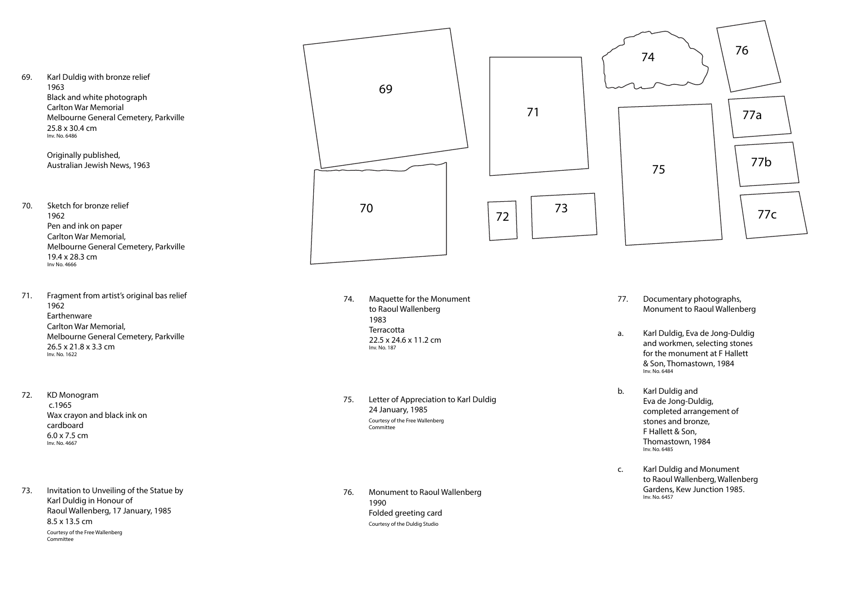69. Karl Duldig with bronze relief 1963 Black and white photograph Carlton War Memorial Melbourne General Cemetery, Parkville 25.8 x 30.4 cm Inv. No. 6486

> Originally published, Australian Jewish News, 1963

- 70. Sketch for bronze relief 1962 Pen and ink on paper Carlton War Memorial, Melbourne General Cemetery, Parkville 19.4 x 28.3 cm Inv No. 4666
- 71. Fragment from artist's original bas relief 1962 Earthenware Carlton War Memorial, Melbourne General Cemetery, Parkville 26.5 x 21.8 x 3.3 cm  $Inv. No. 1622$
- 72. KD Monogram c.1965 Wax crayon and black ink on cardboard 6.0 x 7.5 cm Inv. No. 4667
- 73. Invitation to Unveiling of the Statue by Karl Duldig in Honour of Raoul Wallenberg, 17 January, 1985 8.5 x 13.5 cm Courtesy of the Free Wallenberg Committee
- 74. Maquette for the Monument to Raoul Wallenberg 1983 **Terracotta**  22.5 x 24.6 x 11.2 cm Inv. No. 187
- 75. Letter of Appreciation to Karl Duldig 24 January, 1985 Courtesy of the Free Wallenberg Committee
- 76. Monument to Raoul Wallenberg 1990 Folded greeting card Courtesy of the Duldig Studio

77. Documentary photographs, Monument to Raoul Wallenberg

a. Karl Duldig, Eva de Jong-Duldig and workmen, selecting stones for the monument at F Hallett & Son, Thomastown, 1984 Inv. No. 6484

b. Karl Duldig and Eva de Jong-Duldig, completed arrangement of stones and bronze, F Hallett & Son, Thomastown, 1984 Inv. No. 6485

c. Karl Duldig and Monument to Raoul Wallenberg, Wallenberg Gardens, Kew Junction 1985. Inv. No. 6457



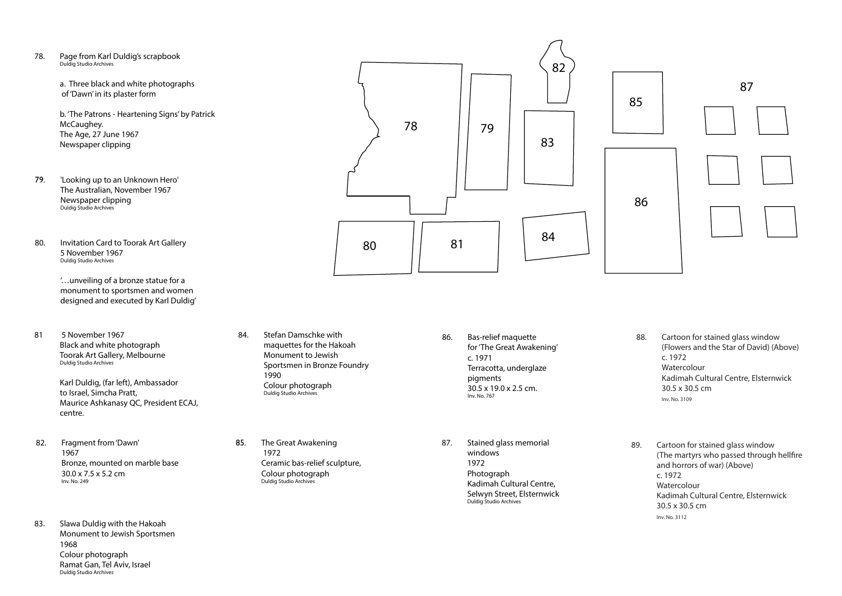78. Page from Karl Duldig's scrapbook Duldig Studio Archives

> a. Three black and white photographs of 'Dawn' in its plaster form

 b. 'The Patrons - Heartening Signs' by Patrick McCaughey. The Age, 27 June 1967 Newspaper clipping

- 79. 'Looking up to an Unknown Hero' The Australian, November 1967 Newspaper clipping Duldig Studio Archives
- 80. Invitation Card to Toorak Art Gallery 5 November 1967 Duldig Studio Archives

 '…unveiling of a bronze statue for a monument to sportsmen and women designed and executed by Karl Duldig'

81 5 November 1967 Black and white photograph Toorak Art Gallery, Melbourne Duldig Studio Archives

> Karl Duldig, (far left), Ambassador to Israel, Simcha Pratt, Maurice Ashkanasy QC, President ECAJ, centre.

- 82. Fragment from 'Dawn' 1967 Bronze, mounted on marble base 30.0 x 7.5 x 5.2 cm Inv. No. 249
- 83. Slawa Duldig with the Hakoah Monument to Jewish Sportsmen 1968 Colour photograph Ramat Gan, Tel Aviv, Israel Duldig Studio Archives

84. Stefan Damschke with maquettes for the Hakoah Monument to Jewish Sportsmen in Bronze Foundry 1990 Colour photograph Duldig Studio Archives

85. The Great Awakening 1972 Ceramic bas-relief sculpture, Colour photograph Duldig Studio Archives

- 86. Bas-relief maquette for 'The Great Awakening' c. 1971 Terracotta, underglaze pigments 30.5 x 19.0 x 2.5 cm. Inv. No. 767
- 87. Stained glass memorial windows 1972 Photograph Kadimah Cultural Centre, Selwyn Street, Elsternwick Duldig Studio Archives





- 88. Cartoon for stained glass window (Flowers and the Star of David) (Above) c. 1972 Watercolour Kadimah Cultural Centre, Elsternwick 30.5 x 30.5 cm Inv. No. 3109
- 89. Cartoon for stained glass window (The martyrs who passed through hellfire and horrors of war) (Above) c. 1972 Watercolour Kadimah Cultural Centre, Elsternwick 30.5 x 30.5 cm Inv. No. 3112